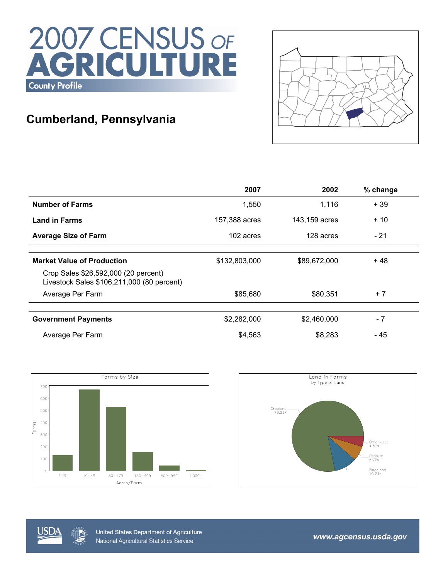# 2007 CENSUS OF<br>AGRICULTURE **County Profile**

## **Cumberland, Pennsylvania**



|                                                                                    | 2007          | 2002          | % change |
|------------------------------------------------------------------------------------|---------------|---------------|----------|
| <b>Number of Farms</b>                                                             | 1,550         | 1,116         | $+39$    |
| <b>Land in Farms</b>                                                               | 157,388 acres | 143,159 acres | $+10$    |
| <b>Average Size of Farm</b>                                                        | 102 acres     | 128 acres     | $-21$    |
|                                                                                    |               |               |          |
| <b>Market Value of Production</b>                                                  | \$132,803,000 | \$89,672,000  | + 48     |
| Crop Sales \$26,592,000 (20 percent)<br>Livestock Sales \$106,211,000 (80 percent) |               |               |          |
| Average Per Farm                                                                   | \$85,680      | \$80,351      | $+7$     |
|                                                                                    |               |               |          |
| <b>Government Payments</b>                                                         | \$2,282,000   | \$2,460,000   | $-7$     |
| Average Per Farm                                                                   | \$4,563       | \$8,283       | - 45     |







United States Department of Agriculture National Agricultural Statistics Service

www.agcensus.usda.gov